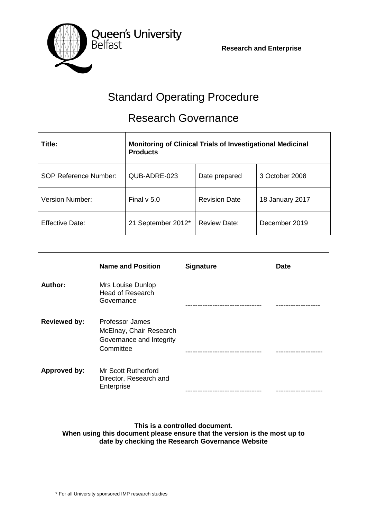**Research and Enterprise**



# Standard Operating Procedure

## Research Governance

| Title:                       | <b>Monitoring of Clinical Trials of Investigational Medicinal</b><br><b>Products</b> |                      |                 |  |
|------------------------------|--------------------------------------------------------------------------------------|----------------------|-----------------|--|
| <b>SOP Reference Number:</b> | QUB-ADRE-023                                                                         | Date prepared        | 3 October 2008  |  |
| <b>Version Number:</b>       | Final $v$ 5.0                                                                        | <b>Revision Date</b> | 18 January 2017 |  |
| <b>Effective Date:</b>       | 21 September 2012*                                                                   | <b>Review Date:</b>  | December 2019   |  |

|                     | <b>Name and Position</b>                                                                   | <b>Signature</b> | <b>Date</b> |
|---------------------|--------------------------------------------------------------------------------------------|------------------|-------------|
| Author:             | Mrs Louise Dunlop<br><b>Head of Research</b><br>Governance                                 |                  |             |
| <b>Reviewed by:</b> | <b>Professor James</b><br>McElnay, Chair Research<br>Governance and Integrity<br>Committee |                  |             |
| Approved by:        | <b>Mr Scott Rutherford</b><br>Director, Research and<br>Enterprise                         |                  |             |

### **This is a controlled document. When using this document please ensure that the version is the most up to date by checking the Research Governance Website**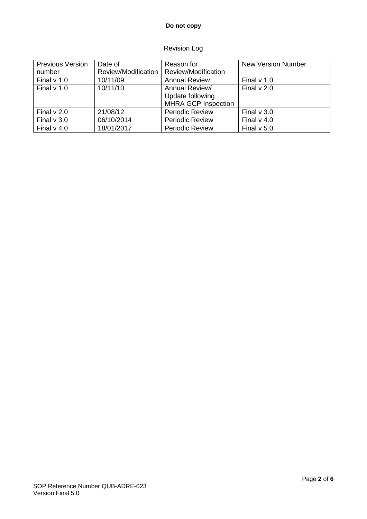## **Do not copy**

## Revision Log

| <b>Previous Version</b> | Date of             | Reason for                 | <b>New Version Number</b> |
|-------------------------|---------------------|----------------------------|---------------------------|
| number                  | Review/Modification | Review/Modification        |                           |
| Final $v$ 1.0           | 10/11/09            | <b>Annual Review</b>       | Final $v$ 1.0             |
| Final $v$ 1.0           | 10/11/10            | Annual Review/             | Final $v$ 2.0             |
|                         |                     | Update following           |                           |
|                         |                     | <b>MHRA GCP Inspection</b> |                           |
| Final $v$ 2.0           | 21/08/12            | <b>Periodic Review</b>     | Final $v$ 3.0             |
| Final $v$ 3.0           | 06/10/2014          | <b>Periodic Review</b>     | Final $v$ 4.0             |
| Final $v$ 4.0           | 18/01/2017          | <b>Periodic Review</b>     | Final $v$ 5.0             |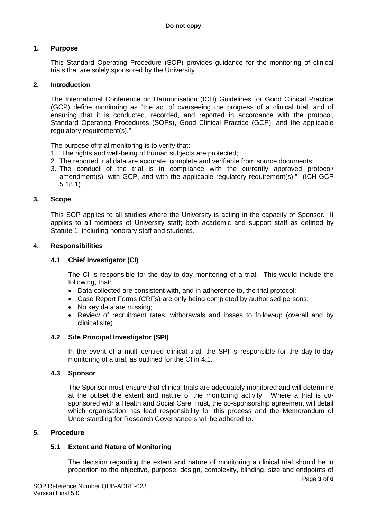## **1. Purpose**

This Standard Operating Procedure (SOP) provides guidance for the monitoring of clinical trials that are solely sponsored by the University.

#### **2. Introduction**

The International Conference on Harmonisation (ICH) Guidelines for Good Clinical Practice (GCP) define monitoring as "the act of overseeing the progress of a clinical trial, and of ensuring that it is conducted, recorded, and reported in accordance with the protocol, Standard Operating Procedures (SOPs), Good Clinical Practice (GCP), and the applicable regulatory requirement(s)."

The purpose of trial monitoring is to verify that:

- 1. "The rights and well-being of human subjects are protected;
- 2. The reported trial data are accurate, complete and verifiable from source documents;
- 3. The conduct of the trial is in compliance with the currently approved protocol/ amendment(s), with GCP, and with the applicable regulatory requirement(s)." (ICH-GCP 5.18.1).

#### **3. Scope**

This SOP applies to all studies where the University is acting in the capacity of Sponsor. It applies to all members of University staff; both academic and support staff as defined by Statute 1, including honorary staff and students.

#### **4. Responsibilities**

#### **4.1 Chief Investigator (CI)**

The CI is responsible for the day-to-day monitoring of a trial. This would include the following, that:

- Data collected are consistent with, and in adherence to, the trial protocol;
- Case Report Forms (CRFs) are only being completed by authorised persons;
- No key data are missing;
- Review of recruitment rates, withdrawals and losses to follow-up (overall and by clinical site).

#### **4.2 Site Principal Investigator (SPI)**

In the event of a multi-centred clinical trial, the SPI is responsible for the day-to-day monitoring of a trial, as outlined for the CI in 4.1.

#### **4.3 Sponsor**

The Sponsor must ensure that clinical trials are adequately monitored and will determine at the outset the extent and nature of the monitoring activity. Where a trial is cosponsored with a Health and Social Care Trust, the co-sponsorship agreement will detail which organisation has lead responsibility for this process and the Memorandum of Understanding for Research Governance shall be adhered to.

#### **5. Procedure**

#### **5.1 Extent and Nature of Monitoring**

The decision regarding the extent and nature of monitoring a clinical trial should be in proportion to the objective, purpose, design, complexity, blinding, size and endpoints of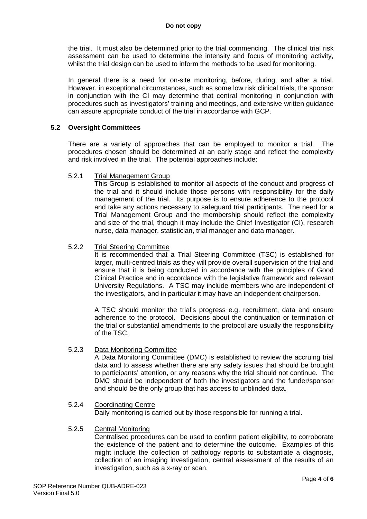the trial. It must also be determined prior to the trial commencing. The clinical trial risk assessment can be used to determine the intensity and focus of monitoring activity, whilst the trial design can be used to inform the methods to be used for monitoring.

In general there is a need for on-site monitoring, before, during, and after a trial. However, in exceptional circumstances, such as some low risk clinical trials, the sponsor in conjunction with the CI may determine that central monitoring in conjunction with procedures such as investigators' training and meetings, and extensive written guidance can assure appropriate conduct of the trial in accordance with GCP.

#### **5.2 Oversight Committees**

There are a variety of approaches that can be employed to monitor a trial. The procedures chosen should be determined at an early stage and reflect the complexity and risk involved in the trial. The potential approaches include:

#### 5.2.1 Trial Management Group

This Group is established to monitor all aspects of the conduct and progress of the trial and it should include those persons with responsibility for the daily management of the trial. Its purpose is to ensure adherence to the protocol and take any actions necessary to safeguard trial participants. The need for a Trial Management Group and the membership should reflect the complexity and size of the trial, though it may include the Chief Investigator (CI), research nurse, data manager, statistician, trial manager and data manager.

#### 5.2.2 Trial Steering Committee

It is recommended that a Trial Steering Committee (TSC) is established for larger, multi-centred trials as they will provide overall supervision of the trial and ensure that it is being conducted in accordance with the principles of Good Clinical Practice and in accordance with the legislative framework and relevant University Regulations. A TSC may include members who are independent of the investigators, and in particular it may have an independent chairperson.

A TSC should monitor the trial's progress e.g. recruitment, data and ensure adherence to the protocol. Decisions about the continuation or termination of the trial or substantial amendments to the protocol are usually the responsibility of the TSC.

#### 5.2.3 Data Monitoring Committee

A Data Monitoring Committee (DMC) is established to review the accruing trial data and to assess whether there are any safety issues that should be brought to participants' attention, or any reasons why the trial should not continue. The DMC should be independent of both the investigators and the funder/sponsor and should be the only group that has access to unblinded data.

## 5.2.4 Coordinating Centre

Daily monitoring is carried out by those responsible for running a trial.

#### 5.2.5 Central Monitoring

Centralised procedures can be used to confirm patient eligibility, to corroborate the existence of the patient and to determine the outcome. Examples of this might include the collection of pathology reports to substantiate a diagnosis, collection of an imaging investigation, central assessment of the results of an investigation, such as a x-ray or scan.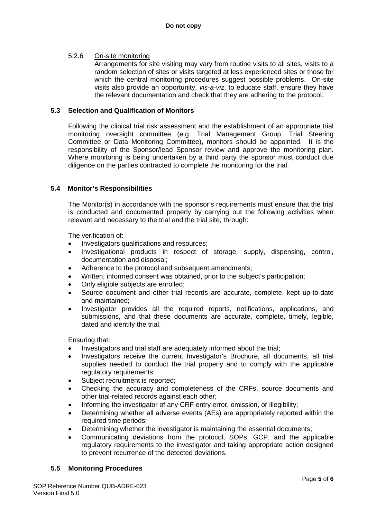## 5.2.6 On-site monitoring

Arrangements for site visiting may vary from routine visits to all sites, visits to a random selection of sites or visits targeted at less experienced sites or those for which the central monitoring procedures suggest possible problems. On-site visits also provide an opportunity, *vis-a-viz*, to educate staff, ensure they have the relevant documentation and check that they are adhering to the protocol.

### **5.3 Selection and Qualification of Monitors**

Following the clinical trial risk assessment and the establishment of an appropriate trial monitoring oversight committee (e.g. Trial Management Group, Trial Steering Committee or Data Monitoring Committee), monitors should be appointed. It is the responsibility of the Sponsor/lead Sponsor review and approve the monitoring plan. Where monitoring is being undertaken by a third party the sponsor must conduct due diligence on the parties contracted to complete the monitoring for the trial.

## **5.4 Monitor's Responsibilities**

The Monitor(s) in accordance with the sponsor's requirements must ensure that the trial is conducted and documented properly by carrying out the following activities when relevant and necessary to the trial and the trial site, through:

The verification of:

- Investigators qualifications and resources;
- Investigational products in respect of storage, supply, dispensing, control, documentation and disposal;
- Adherence to the protocol and subsequent amendments;
- Written, informed consent was obtained, prior to the subject's participation;
- Only eligible subjects are enrolled;
- Source document and other trial records are accurate, complete, kept up-to-date and maintained;
- Investigator provides all the required reports, notifications, applications, and submissions, and that these documents are accurate, complete, timely, legible, dated and identify the trial.

Ensuring that:

- Investigators and trial staff are adequately informed about the trial;
- Investigators receive the current Investigator's Brochure, all documents, all trial supplies needed to conduct the trial properly and to comply with the applicable regulatory requirements;
- Subject recruitment is reported;
- Checking the accuracy and completeness of the CRFs, source documents and other trial-related records against each other;
- Informing the investigator of any CRF entry error, omission, or illegibility;
- Determining whether all adverse events (AEs) are appropriately reported within the required time periods;
- Determining whether the investigator is maintaining the essential documents;
- Communicating deviations from the protocol, SOPs, GCP, and the applicable regulatory requirements to the investigator and taking appropriate action designed to prevent recurrence of the detected deviations.

#### **5.5 Monitoring Procedures**